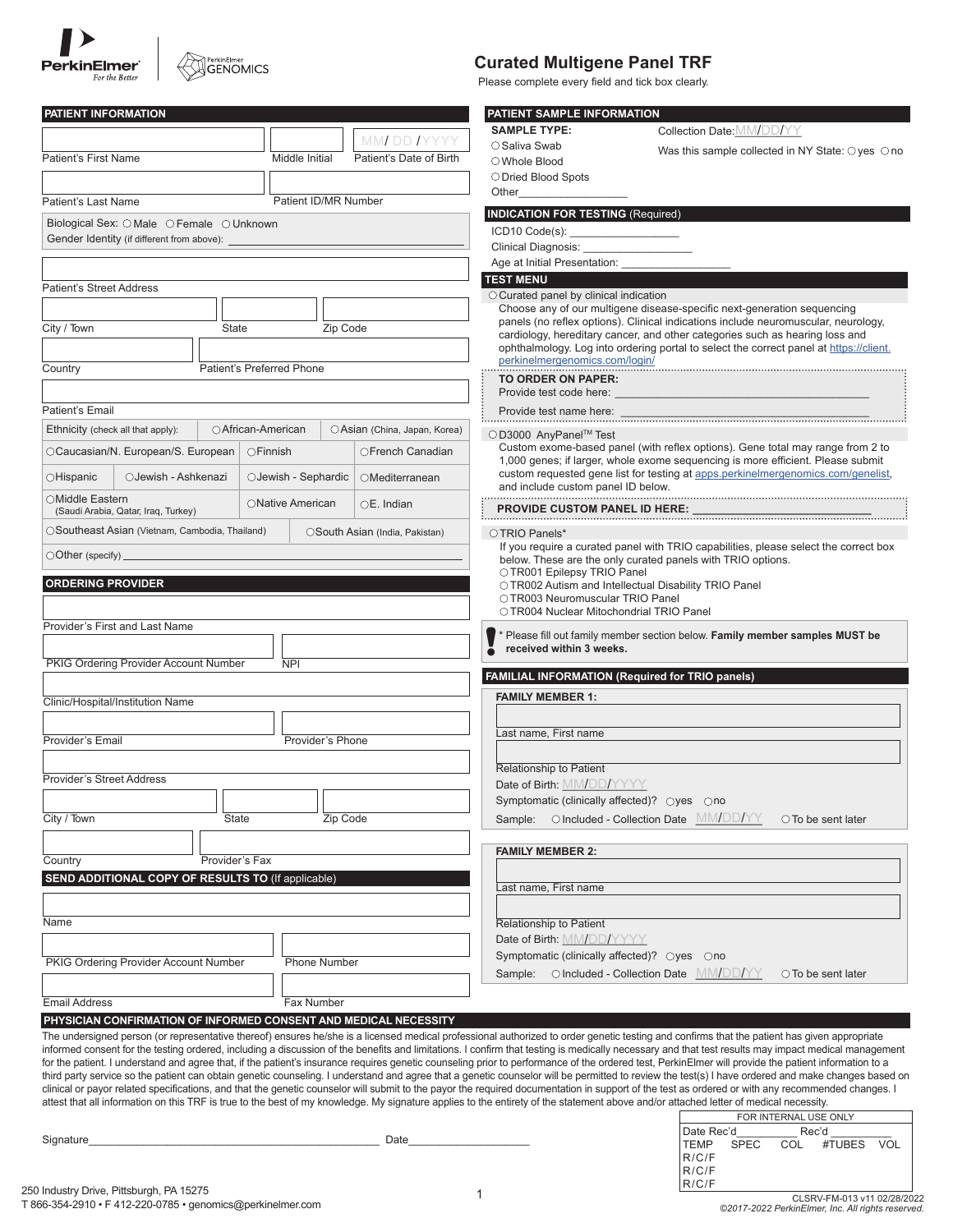| <b>PerkinElmer</b><br>For the Better |
|--------------------------------------|



# **Curated Multigene Panel TRF**

Please complete every field and tick box clearly.

| PATIENT INFORMATION                                                                                                                                                                   |                           |                                                                                    | PATIENT SAMPLE INFORMATION                             |                                                                                                                                                                                                                                                                                                                                                                                                            |  |
|---------------------------------------------------------------------------------------------------------------------------------------------------------------------------------------|---------------------------|------------------------------------------------------------------------------------|--------------------------------------------------------|------------------------------------------------------------------------------------------------------------------------------------------------------------------------------------------------------------------------------------------------------------------------------------------------------------------------------------------------------------------------------------------------------------|--|
|                                                                                                                                                                                       |                           | MMI DD IYYYY                                                                       | <b>SAMPLE TYPE:</b>                                    | Collection Date: MM/DD/YY                                                                                                                                                                                                                                                                                                                                                                                  |  |
| <b>Patient's First Name</b>                                                                                                                                                           | Middle Initial            | Patient's Date of Birth                                                            | ○ Saliva Swab                                          | Was this sample collected in NY State: $\bigcirc$ yes $\bigcirc$ no                                                                                                                                                                                                                                                                                                                                        |  |
|                                                                                                                                                                                       |                           |                                                                                    | ○ Whole Blood<br>○ Dried Blood Spots                   |                                                                                                                                                                                                                                                                                                                                                                                                            |  |
|                                                                                                                                                                                       |                           |                                                                                    | Other                                                  |                                                                                                                                                                                                                                                                                                                                                                                                            |  |
| Patient's Last Name                                                                                                                                                                   | Patient ID/MR Number      |                                                                                    | <b>INDICATION FOR TESTING (Required)</b>               |                                                                                                                                                                                                                                                                                                                                                                                                            |  |
| Biological Sex: O Male O Female O Unknown                                                                                                                                             |                           | ICD10 Code(s): ____________________                                                |                                                        |                                                                                                                                                                                                                                                                                                                                                                                                            |  |
| Gender Identity (if different from above):                                                                                                                                            |                           | Clinical Diagnosis: _________________                                              |                                                        |                                                                                                                                                                                                                                                                                                                                                                                                            |  |
|                                                                                                                                                                                       |                           |                                                                                    | Age at Initial Presentation: __                        |                                                                                                                                                                                                                                                                                                                                                                                                            |  |
| <b>Patient's Street Address</b>                                                                                                                                                       |                           |                                                                                    | <b>TEST MENU</b>                                       |                                                                                                                                                                                                                                                                                                                                                                                                            |  |
|                                                                                                                                                                                       |                           |                                                                                    | O Curated panel by clinical indication                 | Choose any of our multigene disease-specific next-generation sequencing                                                                                                                                                                                                                                                                                                                                    |  |
| City / Town<br>Zip Code<br>State                                                                                                                                                      |                           | panels (no reflex options). Clinical indications include neuromuscular, neurology, |                                                        |                                                                                                                                                                                                                                                                                                                                                                                                            |  |
|                                                                                                                                                                                       |                           |                                                                                    |                                                        | cardiology, hereditary cancer, and other categories such as hearing loss and<br>ophthalmology. Log into ordering portal to select the correct panel at https://client.                                                                                                                                                                                                                                     |  |
| Country                                                                                                                                                                               | Patient's Preferred Phone |                                                                                    | perkinelmergenomics.com/login/                         |                                                                                                                                                                                                                                                                                                                                                                                                            |  |
|                                                                                                                                                                                       |                           |                                                                                    | TO ORDER ON PAPER:                                     |                                                                                                                                                                                                                                                                                                                                                                                                            |  |
|                                                                                                                                                                                       |                           |                                                                                    | Provide test code here:                                |                                                                                                                                                                                                                                                                                                                                                                                                            |  |
| Patient's Email                                                                                                                                                                       |                           |                                                                                    | Provide test name here:                                |                                                                                                                                                                                                                                                                                                                                                                                                            |  |
| ○ African-American<br>Ethnicity (check all that apply):                                                                                                                               |                           | OAsian (China, Japan, Korea)                                                       | ○D3000 AnyPanel™ Test                                  |                                                                                                                                                                                                                                                                                                                                                                                                            |  |
| OCaucasian/N. European/S. European                                                                                                                                                    | ○Finnish                  | OFrench Canadian                                                                   |                                                        | Custom exome-based panel (with reflex options). Gene total may range from 2 to<br>1,000 genes; if larger, whole exome sequencing is more efficient. Please submit                                                                                                                                                                                                                                          |  |
| $\bigcirc$ Hispanic<br>○Jewish - Ashkenazi                                                                                                                                            | ○Jewish - Sephardic       | OMediterranean                                                                     | and include custom panel ID below.                     | custom requested gene list for testing at apps.perkinelmergenomics.com/genelist,                                                                                                                                                                                                                                                                                                                           |  |
| OMiddle Eastern<br>(Saudi Arabia, Qatar, Iraq, Turkey)                                                                                                                                | ONative American          | $OE.$ Indian                                                                       |                                                        |                                                                                                                                                                                                                                                                                                                                                                                                            |  |
| OSoutheast Asian (Vietnam, Cambodia, Thailand)                                                                                                                                        |                           | OSouth Asian (India, Pakistan)                                                     | OTRIO Panels*                                          |                                                                                                                                                                                                                                                                                                                                                                                                            |  |
| $\bigcirc$ Other (specify).                                                                                                                                                           |                           |                                                                                    |                                                        | If you require a curated panel with TRIO capabilities, please select the correct box<br>below. These are the only curated panels with TRIO options.                                                                                                                                                                                                                                                        |  |
|                                                                                                                                                                                       |                           |                                                                                    | OTR001 Epilepsy TRIO Panel                             |                                                                                                                                                                                                                                                                                                                                                                                                            |  |
| <b>ORDERING PROVIDER</b>                                                                                                                                                              |                           |                                                                                    | OTR003 Neuromuscular TRIO Panel                        | OTR002 Autism and Intellectual Disability TRIO Panel                                                                                                                                                                                                                                                                                                                                                       |  |
|                                                                                                                                                                                       |                           |                                                                                    | OTR004 Nuclear Mitochondrial TRIO Panel                |                                                                                                                                                                                                                                                                                                                                                                                                            |  |
| Provider's First and Last Name                                                                                                                                                        |                           |                                                                                    |                                                        | * Please fill out family member section below. Family member samples MUST be                                                                                                                                                                                                                                                                                                                               |  |
|                                                                                                                                                                                       |                           |                                                                                    | received within 3 weeks.                               |                                                                                                                                                                                                                                                                                                                                                                                                            |  |
| PKIG Ordering Provider Account Number                                                                                                                                                 | <b>NPI</b>                |                                                                                    |                                                        |                                                                                                                                                                                                                                                                                                                                                                                                            |  |
|                                                                                                                                                                                       |                           |                                                                                    | <b>FAMILIAL INFORMATION (Required for TRIO panels)</b> |                                                                                                                                                                                                                                                                                                                                                                                                            |  |
| Clinic/Hospital/Institution Name                                                                                                                                                      |                           |                                                                                    | <b>FAMILY MEMBER 1:</b>                                |                                                                                                                                                                                                                                                                                                                                                                                                            |  |
|                                                                                                                                                                                       |                           |                                                                                    | Last name, First name                                  |                                                                                                                                                                                                                                                                                                                                                                                                            |  |
| Provider's Email                                                                                                                                                                      | Provider's Phone          |                                                                                    |                                                        |                                                                                                                                                                                                                                                                                                                                                                                                            |  |
|                                                                                                                                                                                       |                           |                                                                                    | Relationship to Patient                                |                                                                                                                                                                                                                                                                                                                                                                                                            |  |
| <b>Provider's Street Address</b>                                                                                                                                                      |                           |                                                                                    | Date of Birth: MM/DD/YYYY                              |                                                                                                                                                                                                                                                                                                                                                                                                            |  |
|                                                                                                                                                                                       |                           |                                                                                    | Symptomatic (clinically affected)? ○yes ○no            |                                                                                                                                                                                                                                                                                                                                                                                                            |  |
| City / Town<br>State                                                                                                                                                                  |                           | Zip Code                                                                           |                                                        | Sample: Olncluded - Collection Date MM/DD/YY<br>○ To be sent later                                                                                                                                                                                                                                                                                                                                         |  |
|                                                                                                                                                                                       |                           |                                                                                    |                                                        |                                                                                                                                                                                                                                                                                                                                                                                                            |  |
| Country<br>Provider's Fax                                                                                                                                                             |                           |                                                                                    | <b>FAMILY MEMBER 2:</b>                                |                                                                                                                                                                                                                                                                                                                                                                                                            |  |
| SEND ADDITIONAL COPY OF RESULTS TO (If applicable)                                                                                                                                    |                           |                                                                                    |                                                        |                                                                                                                                                                                                                                                                                                                                                                                                            |  |
|                                                                                                                                                                                       |                           |                                                                                    | Last name, First name                                  |                                                                                                                                                                                                                                                                                                                                                                                                            |  |
| Name                                                                                                                                                                                  |                           |                                                                                    | Relationship to Patient                                |                                                                                                                                                                                                                                                                                                                                                                                                            |  |
|                                                                                                                                                                                       |                           |                                                                                    | Date of Birth: MM/DD/YYYY                              |                                                                                                                                                                                                                                                                                                                                                                                                            |  |
| PKIG Ordering Provider Account Number                                                                                                                                                 | <b>Phone Number</b>       |                                                                                    | Symptomatic (clinically affected)? ○yes ○no            |                                                                                                                                                                                                                                                                                                                                                                                                            |  |
|                                                                                                                                                                                       |                           |                                                                                    |                                                        | Sample: O Included - Collection Date MM/DD/YY<br>$\circ$ To be sent later                                                                                                                                                                                                                                                                                                                                  |  |
|                                                                                                                                                                                       |                           |                                                                                    |                                                        |                                                                                                                                                                                                                                                                                                                                                                                                            |  |
| <b>Email Address</b>                                                                                                                                                                  | Fax Number                |                                                                                    |                                                        |                                                                                                                                                                                                                                                                                                                                                                                                            |  |
| PHYSICIAN CONFIRMATION OF INFORMED CONSENT AND MEDICAL NECESSITY                                                                                                                      |                           |                                                                                    |                                                        | The undersigned person (or representative thereof) ensures he/she is a licensed medical professional authorized to order genetic testing and confirms that the patient has given appropriate                                                                                                                                                                                                               |  |
|                                                                                                                                                                                       |                           |                                                                                    |                                                        | informed consent for the testing ordered, including a discussion of the benefits and limitations. I confirm that testing is medically necessary and that test results may impact medical management                                                                                                                                                                                                        |  |
|                                                                                                                                                                                       |                           |                                                                                    |                                                        | for the patient. I understand and agree that, if the patient's insurance requires genetic counseling prior to performance of the ordered test, PerkinElmer will provide the patient information to a<br>third party service so the patient can obtain genetic counseling. I understand and agree that a genetic counselor will be permitted to review the test(s) I have ordered and make changes based on |  |
|                                                                                                                                                                                       |                           |                                                                                    |                                                        | clinical or payor related specifications, and that the genetic counselor will submit to the payor the required documentation in support of the test as ordered or with any recommended changes. I                                                                                                                                                                                                          |  |
| attest that all information on this TRF is true to the best of my knowledge. My signature applies to the entirety of the statement above and/or attached letter of medical necessity. |                           |                                                                                    |                                                        |                                                                                                                                                                                                                                                                                                                                                                                                            |  |
|                                                                                                                                                                                       |                           |                                                                                    |                                                        | FOR INTERNAL USE ONLY<br>Date Rec'd<br>Rec'd                                                                                                                                                                                                                                                                                                                                                               |  |
| Signature_                                                                                                                                                                            |                           |                                                                                    |                                                        | <b>SPEC</b><br>#TUBES VOL<br>TEMP<br>COL                                                                                                                                                                                                                                                                                                                                                                   |  |
|                                                                                                                                                                                       |                           |                                                                                    |                                                        | R/C/F<br>R/C/F                                                                                                                                                                                                                                                                                                                                                                                             |  |
| Industry Drive, Pittsburgh, PA 15275                                                                                                                                                  |                           |                                                                                    |                                                        | R/C/F                                                                                                                                                                                                                                                                                                                                                                                                      |  |
|                                                                                                                                                                                       |                           |                                                                                    |                                                        |                                                                                                                                                                                                                                                                                                                                                                                                            |  |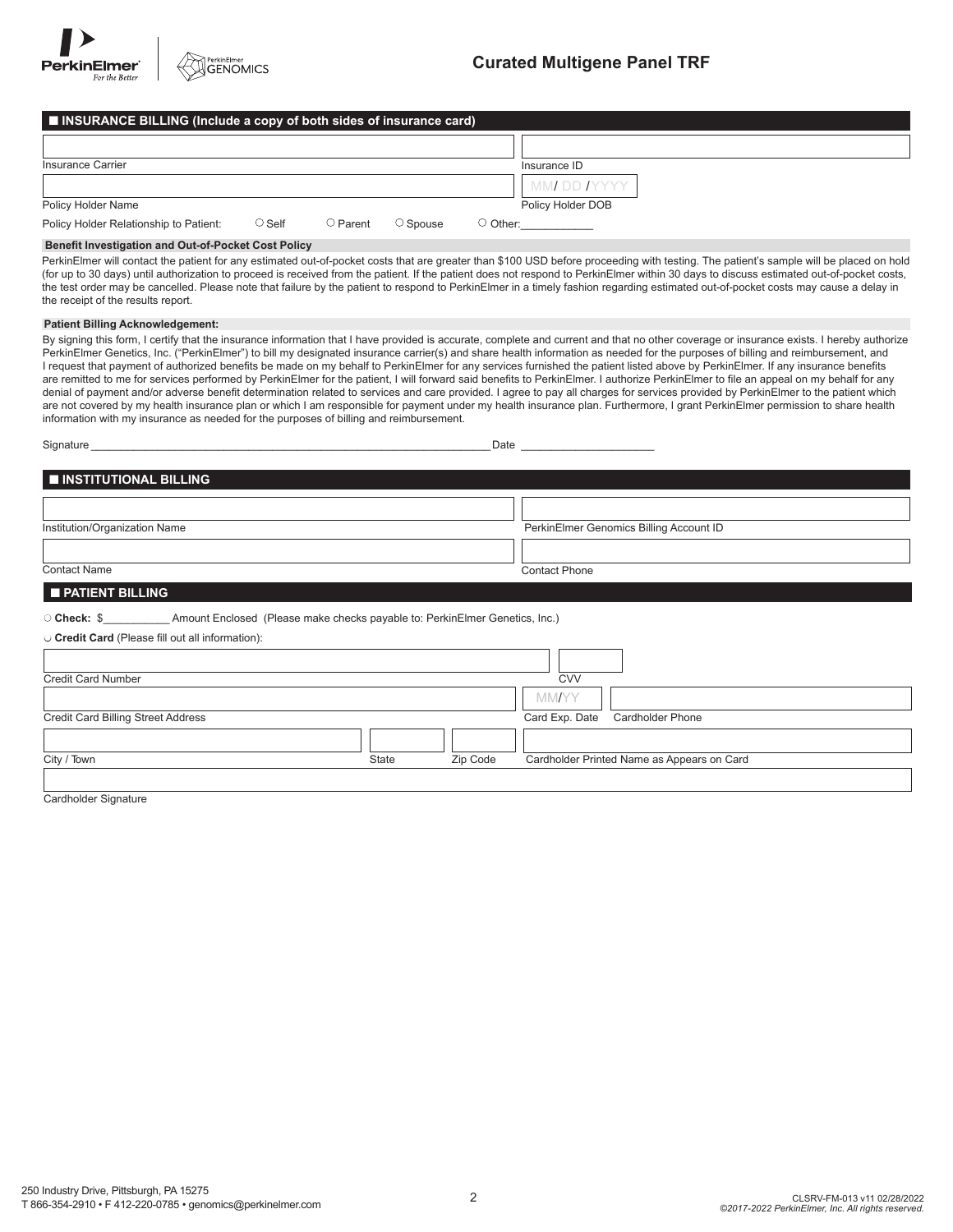| ■ INSURANCE BILLING (Include a copy of both sides of insurance card) |              |                            |               |                   |
|----------------------------------------------------------------------|--------------|----------------------------|---------------|-------------------|
|                                                                      |              |                            |               |                   |
| Insurance Carrier                                                    |              |                            |               | Insurance ID      |
|                                                                      |              |                            |               | MM DD IYYYY "     |
| Policy Holder Name                                                   |              |                            |               | Policy Holder DOB |
| Policy Holder Relationship to Patient:                               | $\circ$ Self | $\circlearrowright$ Parent | $\cup$ Spouse | $\bigcirc$ Other: |

#### **Benefit Investigation and Out-of-Pocket Cost Policy**

PerkinElmer will contact the patient for any estimated out-of-pocket costs that are greater than \$100 USD before proceeding with testing. The patient's sample will be placed on hold (for up to 30 days) until authorization to proceed is received from the patient. If the patient does not respond to PerkinElmer within 30 days to discuss estimated out-of-pocket costs, the test order may be cancelled. Please note that failure by the patient to respond to PerkinElmer in a timely fashion regarding estimated out-of-pocket costs may cause a delay in the receipt of the results report.

#### **Patient Billing Acknowledgement:**

By signing this form, I certify that the insurance information that I have provided is accurate, complete and current and that no other coverage or insurance exists. I hereby authorize PerkinElmer Genetics, Inc. ("PerkinElmer") to bill my designated insurance carrier(s) and share health information as needed for the purposes of billing and reimbursement, and I request that payment of authorized benefits be made on my behalf to PerkinElmer for any services furnished the patient listed above by PerkinElmer. If any insurance benefits are remitted to me for services performed by PerkinElmer for the patient, I will forward said benefits to PerkinElmer. I authorize PerkinElmer to file an appeal on my behalf for any denial of payment and/or adverse benefit determination related to services and care provided. I agree to pay all charges for services provided by PerkinElmer to the patient which are not covered by my health insurance plan or which I am responsible for payment under my health insurance plan. Furthermore, I grant PerkinElmer permission to share health information with my insurance as needed for the purposes of billing and reimbursement.

| Signature                                                                                                  |       | Date     |                      |                                            |  |
|------------------------------------------------------------------------------------------------------------|-------|----------|----------------------|--------------------------------------------|--|
| <b>INSTITUTIONAL BILLING</b>                                                                               |       |          |                      |                                            |  |
|                                                                                                            |       |          |                      |                                            |  |
| Institution/Organization Name                                                                              |       |          |                      | PerkinElmer Genomics Billing Account ID    |  |
|                                                                                                            |       |          |                      |                                            |  |
| <b>Contact Name</b>                                                                                        |       |          | <b>Contact Phone</b> |                                            |  |
| <b>PATIENT BILLING</b>                                                                                     |       |          |                      |                                            |  |
| O Check: \$____________________Amount Enclosed (Please make checks payable to: PerkinElmer Genetics, Inc.) |       |          |                      |                                            |  |
| O Credit Card (Please fill out all information):                                                           |       |          |                      |                                            |  |
|                                                                                                            |       |          |                      |                                            |  |
| <b>Credit Card Number</b>                                                                                  |       |          | <b>CVV</b>           |                                            |  |
|                                                                                                            |       |          | <b>MMAYY</b>         |                                            |  |
| <b>Credit Card Billing Street Address</b>                                                                  |       |          | Card Exp. Date       | <b>Cardholder Phone</b>                    |  |
|                                                                                                            |       |          |                      |                                            |  |
| City / Town                                                                                                | State | Zip Code |                      | Cardholder Printed Name as Appears on Card |  |
|                                                                                                            |       |          |                      |                                            |  |
| Cardholder Signature                                                                                       |       |          |                      |                                            |  |

dholder Signature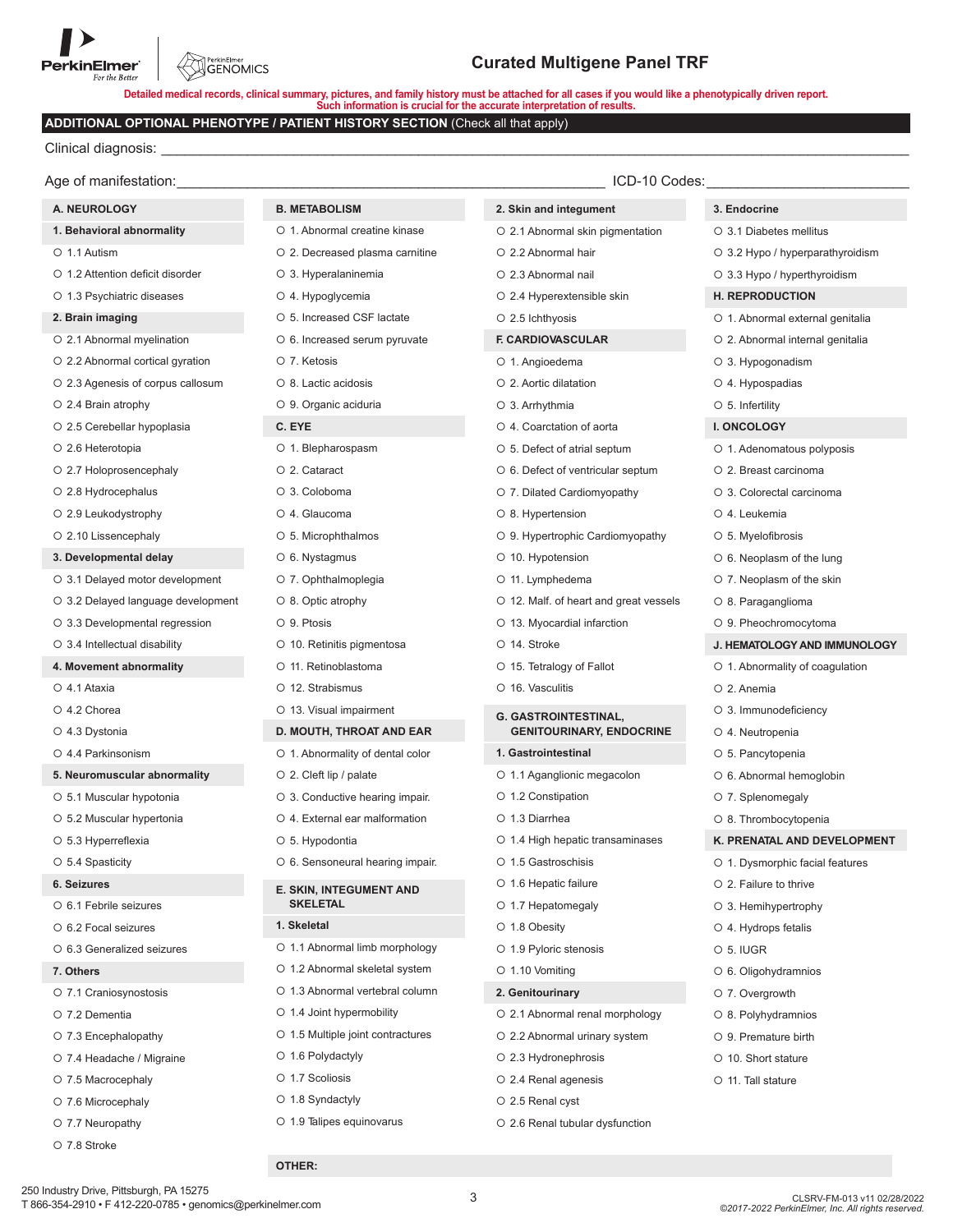PerkinElmer<br>GENOMICS

Detailed medical records, clinical summary, pictures, and family history must be attached for all cases if you would like a phenotypically driven report.<br>Such information is crucial for the accurate interpretation of resul

## **ADDITIONAL OPTIONAL PHENOTYPE / PATIENT HISTORY SECTION (Check all that apply)**

Clinical diagnosis:

| Age of manifestation:              |                                   | ICD-10 Codes:                          |                                  |  |
|------------------------------------|-----------------------------------|----------------------------------------|----------------------------------|--|
| A. NEUROLOGY                       | <b>B. METABOLISM</b>              | 2. Skin and integument                 | 3. Endocrine                     |  |
| 1. Behavioral abnormality          | O 1. Abnormal creatine kinase     | O 2.1 Abnormal skin pigmentation       | O 3.1 Diabetes mellitus          |  |
| O 1.1 Autism                       | O 2. Decreased plasma carnitine   | ○ 2.2 Abnormal hair                    | ○ 3.2 Hypo / hyperparathyroidism |  |
| O 1.2 Attention deficit disorder   | O 3. Hyperalaninemia              | O 2.3 Abnormal nail                    | ○ 3.3 Hypo / hyperthyroidism     |  |
| O 1.3 Psychiatric diseases         | O 4. Hypoglycemia                 | ○ 2.4 Hyperextensible skin             | <b>H. REPRODUCTION</b>           |  |
| 2. Brain imaging                   | O 5. Increased CSF lactate        | $\circ$ 2.5 lchthyosis                 | O 1. Abnormal external genitalia |  |
| O 2.1 Abnormal myelination         | O 6. Increased serum pyruvate     | <b>F. CARDIOVASCULAR</b>               | O 2. Abnormal internal genitalia |  |
| ○ 2.2 Abnormal cortical gyration   | O 7. Ketosis                      | O 1. Angioedema                        | O 3. Hypogonadism                |  |
| O 2.3 Agenesis of corpus callosum  | O 8. Lactic acidosis              | ○ 2. Aortic dilatation                 | O 4. Hypospadias                 |  |
| $\circ$ 2.4 Brain atrophy          | O 9. Organic aciduria             | O 3. Arrhythmia                        | $\circ$ 5. Infertility           |  |
| O 2.5 Cerebellar hypoplasia        | C. EYE                            | O 4. Coarctation of aorta              | I. ONCOLOGY                      |  |
| O 2.6 Heterotopia                  | O 1. Blepharospasm                | O 5. Defect of atrial septum           | O 1. Adenomatous polyposis       |  |
| O 2.7 Holoprosencephaly            | O 2. Cataract                     | ○ 6. Defect of ventricular septum      | O 2. Breast carcinoma            |  |
| ○ 2.8 Hydrocephalus                | O 3. Coloboma                     | O 7. Dilated Cardiomyopathy            | O 3. Colorectal carcinoma        |  |
| $\circ$ 2.9 Leukodystrophy         | O 4. Glaucoma                     | ○ 8. Hypertension                      | O 4. Leukemia                    |  |
| O 2.10 Lissencephaly               | O 5. Microphthalmos               | O 9. Hypertrophic Cardiomyopathy       | O 5. Myelofibrosis               |  |
| 3. Developmental delay             | O 6. Nystagmus                    | O 10. Hypotension                      | $\circ$ 6. Neoplasm of the lung  |  |
| ○ 3.1 Delayed motor development    | O 7. Ophthalmoplegia              | O 11. Lymphedema                       | O 7. Neoplasm of the skin        |  |
| O 3.2 Delayed language development | O 8. Optic atrophy                | O 12. Malf. of heart and great vessels | O 8. Paraganglioma               |  |
| O 3.3 Developmental regression     | O 9. Ptosis                       | O 13. Myocardial infarction            | O 9. Pheochromocytoma            |  |
| ○ 3.4 Intellectual disability      | O 10. Retinitis pigmentosa        | O 14. Stroke                           | J. HEMATOLOGY AND IMMUNOLOGY     |  |
| 4. Movement abnormality            | O 11. Retinoblastoma              | ○ 15. Tetralogy of Fallot              | O 1. Abnormality of coagulation  |  |
| O 4.1 Ataxia                       | O 12. Strabismus                  | O 16. Vasculitis                       | O 2. Anemia                      |  |
| O 4.2 Chorea                       | O 13. Visual impairment           | <b>G. GASTROINTESTINAL,</b>            | O 3. Immunodeficiency            |  |
| O 4.3 Dystonia                     | D. MOUTH, THROAT AND EAR          | <b>GENITOURINARY, ENDOCRINE</b>        | O 4. Neutropenia                 |  |
| O 4.4 Parkinsonism                 | O 1. Abnormality of dental color  | 1. Gastrointestinal                    | O 5. Pancytopenia                |  |
| 5. Neuromuscular abnormality       | ○ 2. Cleft lip / palate           | O 1.1 Aganglionic megacolon            | O 6. Abnormal hemoglobin         |  |
| O 5.1 Muscular hypotonia           | O 3. Conductive hearing impair.   | ○ 1.2 Constipation                     | O 7. Splenomegaly                |  |
| O 5.2 Muscular hypertonia          | O 4. External ear malformation    | O 1.3 Diarrhea                         | O 8. Thrombocytopenia            |  |
| ○ 5.3 Hyperreflexia                | O 5. Hypodontia                   | ○ 1.4 High hepatic transaminases       | K. PRENATAL AND DEVELOPMENT      |  |
| ○ 5.4 Spasticity                   | O 6. Sensoneural hearing impair.  | O 1.5 Gastroschisis                    | O 1. Dysmorphic facial features  |  |
| 6. Seizures                        | <b>E. SKIN, INTEGUMENT AND</b>    | ○ 1.6 Hepatic failure                  | $\circ$ 2. Failure to thrive     |  |
| O 6.1 Febrile seizures             | <b>SKELETAL</b>                   | $\circ$ 1.7 Hepatomegaly               | ○ 3. Hemihypertrophy             |  |
| O 6.2 Focal seizures               | 1. Skeletal                       | O 1.8 Obesity                          | O 4. Hydrops fetalis             |  |
| O 6.3 Generalized seizures         | O 1.1 Abnormal limb morphology    | ○ 1.9 Pyloric stenosis                 | $O$ 5. IUGR                      |  |
| 7. Others                          | O 1.2 Abnormal skeletal system    | $\circ$ 1.10 Vomiting                  | O 6. Oligohydramnios             |  |
| O 7.1 Craniosynostosis             | ○ 1.3 Abnormal vertebral column   | 2. Genitourinary                       | O 7. Overgrowth                  |  |
| O 7.2 Dementia                     | ○ 1.4 Joint hypermobility         | O 2.1 Abnormal renal morphology        | O 8. Polyhydramnios              |  |
| O 7.3 Encephalopathy               | ○ 1.5 Multiple joint contractures | O 2.2 Abnormal urinary system          | ○ 9. Premature birth             |  |
| O 7.4 Headache / Migraine          | $\circ$ 1.6 Polydactyly           | ○ 2.3 Hydronephrosis                   | O 10. Short stature              |  |
| ○ 7.5 Macrocephaly                 | O 1.7 Scoliosis                   | ○ 2.4 Renal agenesis                   | O 11. Tall stature               |  |
| O 7.6 Microcephaly                 | ○ 1.8 Syndactyly                  | O 2.5 Renal cyst                       |                                  |  |
| O 7.7 Neuropathy                   | O 1.9 Talipes equinovarus         | ○ 2.6 Renal tubular dysfunction        |                                  |  |
| O 7.8 Stroke                       |                                   |                                        |                                  |  |
|                                    | OTHER:                            |                                        |                                  |  |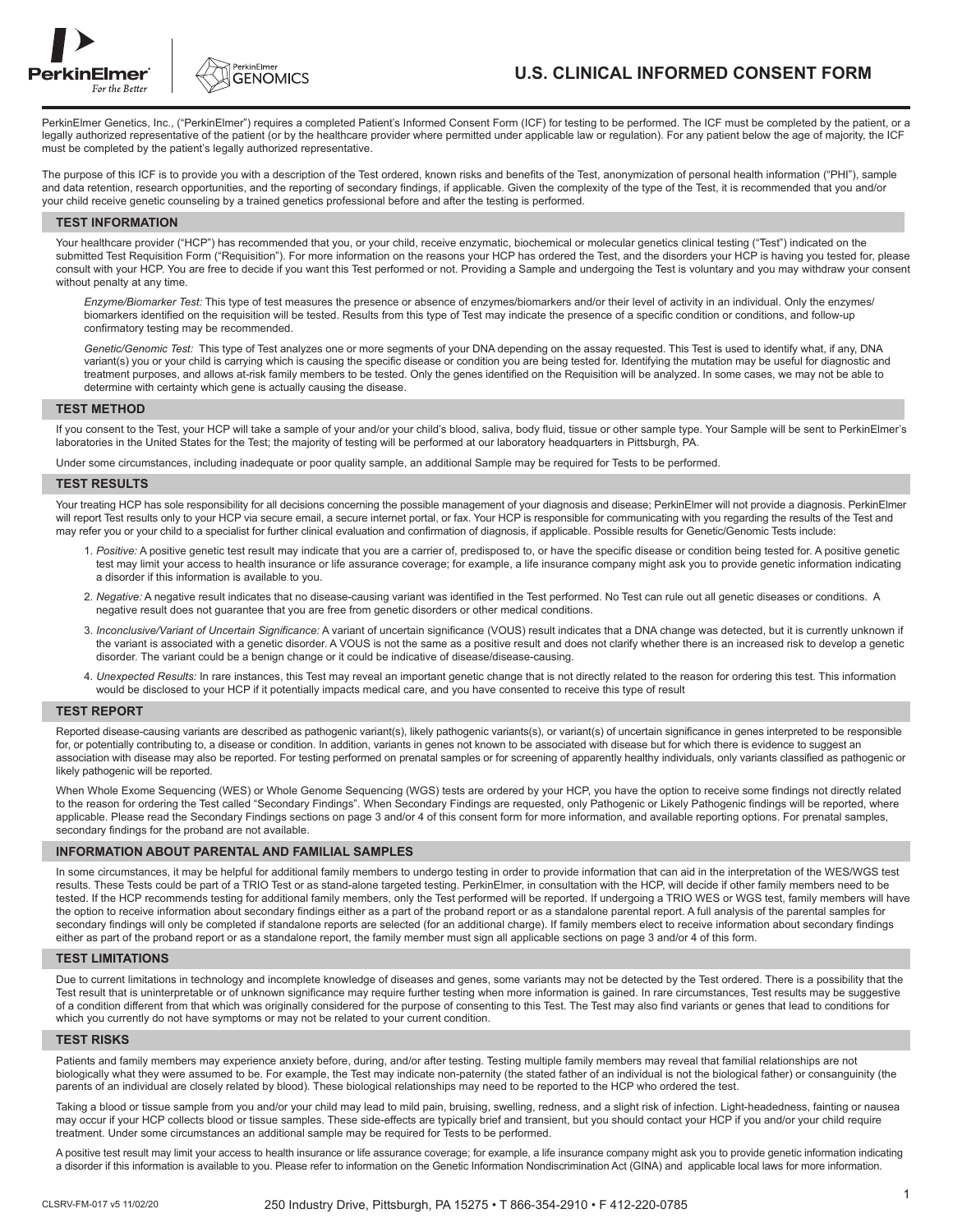



## **U.S. CLINICAL INFORMED CONSENT FORM**

PerkinElmer Genetics, Inc., ("PerkinElmer") requires a completed Patient's Informed Consent Form (ICF) for testing to be performed. The ICF must be completed by the patient, or a legally authorized representative of the patient (or by the healthcare provider where permitted under applicable law or regulation). For any patient below the age of majority, the ICF must be completed by the patient's legally authorized representative.

The purpose of this ICF is to provide you with a description of the Test ordered, known risks and benefits of the Test, anonymization of personal health information ("PHI"), sample and data retention, research opportunities, and the reporting of secondary findings, if applicable. Given the complexity of the type of the Test, it is recommended that you and/or your child receive genetic counseling by a trained genetics professional before and after the testing is performed.

#### **TEST INFORMATION**

Your healthcare provider ("HCP") has recommended that you, or your child, receive enzymatic, biochemical or molecular genetics clinical testing ("Test") indicated on the submitted Test Requisition Form ("Requisition"). For more information on the reasons your HCP has ordered the Test, and the disorders your HCP is having you tested for, please consult with your HCP. You are free to decide if you want this Test performed or not. Providing a Sample and undergoing the Test is voluntary and you may withdraw your consent without penalty at any time.

 *Enzyme/Biomarker Test:* This type of test measures the presence or absence of enzymes/biomarkers and/or their level of activity in an individual. Only the enzymes/ biomarkers identified on the requisition will be tested. Results from this type of Test may indicate the presence of a specific condition or conditions, and follow-up confirmatory testing may be recommended.

 *Genetic/Genomic Test:* This type of Test analyzes one or more segments of your DNA depending on the assay requested. This Test is used to identify what, if any, DNA variant(s) you or your child is carrying which is causing the specific disease or condition you are being tested for. Identifying the mutation may be useful for diagnostic and treatment purposes, and allows at-risk family members to be tested. Only the genes identified on the Requisition will be analyzed. In some cases, we may not be able to determine with certainty which gene is actually causing the disease.

### **TEST METHOD**

If you consent to the Test, your HCP will take a sample of your and/or your child's blood, saliva, body fluid, tissue or other sample type. Your Sample will be sent to PerkinElmer's laboratories in the United States for the Test; the majority of testing will be performed at our laboratory headquarters in Pittsburgh, PA.

Under some circumstances, including inadequate or poor quality sample, an additional Sample may be required for Tests to be performed.

#### **TEST RESULTS**

Your treating HCP has sole responsibility for all decisions concerning the possible management of your diagnosis and disease; PerkinElmer will not provide a diagnosis. PerkinElmer will report Test results only to your HCP via secure email, a secure internet portal, or fax. Your HCP is responsible for communicating with you regarding the results of the Test and may refer you or your child to a specialist for further clinical evaluation and confirmation of diagnosis, if applicable. Possible results for Genetic/Genomic Tests include:

- 1. *Positive:* A positive genetic test result may indicate that you are a carrier of, predisposed to, or have the specific disease or condition being tested for. A positive genetic test may limit your access to health insurance or life assurance coverage; for example, a life insurance company might ask you to provide genetic information indicating a disorder if this information is available to you.
- 2. *Negative:* A negative result indicates that no disease-causing variant was identified in the Test performed. No Test can rule out all genetic diseases or conditions. A negative result does not guarantee that you are free from genetic disorders or other medical conditions.
- 3. *Inconclusive/Variant of Uncertain Significance:* A variant of uncertain significance (VOUS) result indicates that a DNA change was detected, but it is currently unknown if the variant is associated with a genetic disorder. A VOUS is not the same as a positive result and does not clarify whether there is an increased risk to develop a genetic disorder. The variant could be a benign change or it could be indicative of disease/disease-causing.
- 4. *Unexpected Results:* In rare instances, this Test may reveal an important genetic change that is not directly related to the reason for ordering this test. This information would be disclosed to your HCP if it potentially impacts medical care, and you have consented to receive this type of result

#### **TEST REPORT**

Reported disease-causing variants are described as pathogenic variant(s), likely pathogenic variants(s), or variant(s) of uncertain significance in genes interpreted to be responsible for, or potentially contributing to, a disease or condition. In addition, variants in genes not known to be associated with disease but for which there is evidence to suggest an association with disease may also be reported. For testing performed on prenatal samples or for screening of apparently healthy individuals, only variants classified as pathogenic or likely pathogenic will be reported.

When Whole Exome Sequencing (WES) or Whole Genome Sequencing (WGS) tests are ordered by your HCP, you have the option to receive some findings not directly related to the reason for ordering the Test called "Secondary Findings". When Secondary Findings are requested, only Pathogenic or Likely Pathogenic findings will be reported, where applicable. Please read the Secondary Findings sections on page 3 and/or 4 of this consent form for more information, and available reporting options. For prenatal samples, secondary findings for the proband are not available.

#### **INFORMATION ABOUT PARENTAL AND FAMILIAL SAMPLES**

In some circumstances, it may be helpful for additional family members to undergo testing in order to provide information that can aid in the interpretation of the WES/WGS test results. These Tests could be part of a TRIO Test or as stand-alone targeted testing. PerkinElmer, in consultation with the HCP, will decide if other family members need to be tested. If the HCP recommends testing for additional family members, only the Test performed will be reported. If undergoing a TRIO WES or WGS test, family members will have the option to receive information about secondary findings either as a part of the proband report or as a standalone parental report. A full analysis of the parental samples for secondary findings will only be completed if standalone reports are selected (for an additional charge). If family members elect to receive information about secondary findings either as part of the proband report or as a standalone report, the family member must sign all applicable sections on page 3 and/or 4 of this form.

#### **TEST LIMITATIONS**

Due to current limitations in technology and incomplete knowledge of diseases and genes, some variants may not be detected by the Test ordered. There is a possibility that the Test result that is uninterpretable or of unknown significance may require further testing when more information is gained. In rare circumstances, Test results may be suggestive of a condition different from that which was originally considered for the purpose of consenting to this Test. The Test may also find variants or genes that lead to conditions for which you currently do not have symptoms or may not be related to your current condition.

#### **TEST RISKS**

Patients and family members may experience anxiety before, during, and/or after testing. Testing multiple family members may reveal that familial relationships are not biologically what they were assumed to be. For example, the Test may indicate non-paternity (the stated father of an individual is not the biological father) or consanguinity (the parents of an individual are closely related by blood). These biological relationships may need to be reported to the HCP who ordered the test.

Taking a blood or tissue sample from you and/or your child may lead to mild pain, bruising, swelling, redness, and a slight risk of infection. Light-headedness, fainting or nausea may occur if your HCP collects blood or tissue samples. These side-effects are typically brief and transient, but you should contact your HCP if you and/or your child require treatment. Under some circumstances an additional sample may be required for Tests to be performed.

A positive test result may limit your access to health insurance or life assurance coverage; for example, a life insurance company might ask you to provide genetic information indicating a disorder if this information is available to you. Please refer to information on the Genetic Information Nondiscrimination Act (GINA) and applicable local laws for more information.